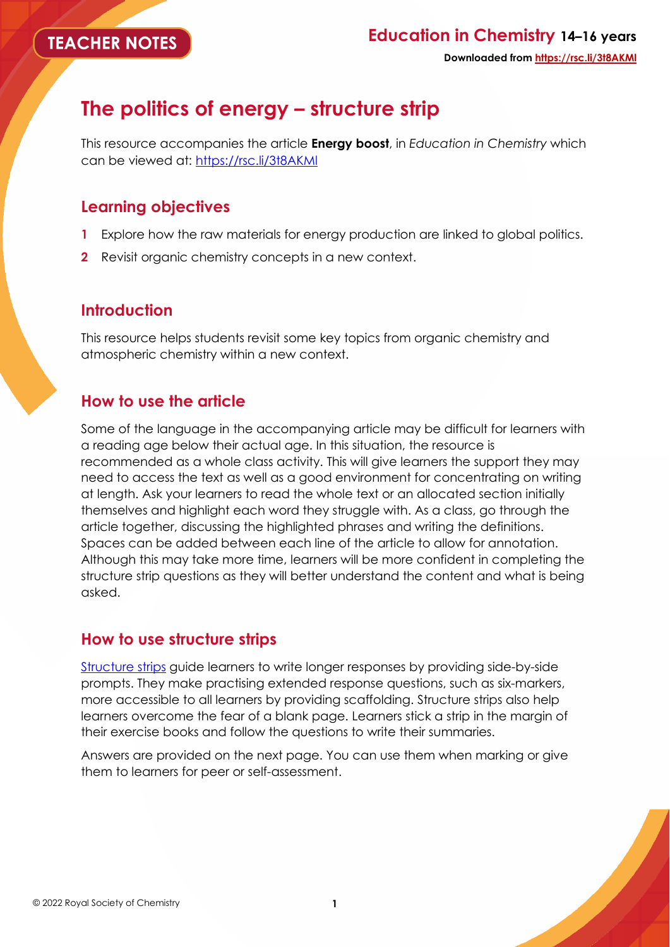# **The politics of energy – structure strip**

This resource accompanies the article **Energy boost**, in *Education in Chemistry* which can be viewed at:<https://rsc.li/3t8AKMl>

## **Learning objectives**

- **1** Explore how the raw materials for energy production are linked to global politics.
- **2** Revisit organic chemistry concepts in a new context.

# **Introduction**

This resource helps students revisit some key topics from organic chemistry and atmospheric chemistry within a new context.

# **How to use the article**

Some of the language in the accompanying article may be difficult for learners with a reading age below their actual age. In this situation, the resource is recommended as a whole class activity. This will give learners the support they may need to access the text as well as a good environment for concentrating on writing at length. Ask your learners to read the whole text or an allocated section initially themselves and highlight each word they struggle with. As a class, go through the article together, discussing the highlighted phrases and writing the definitions. Spaces can be added between each line of the article to allow for annotation. Although this may take more time, learners will be more confident in completing the structure strip questions as they will better understand the content and what is being asked.

## **How to use structure strips**

[Structure strips](https://edu.rsc.org/feature/understanding-comes-with-writing/3010366.article) guide learners to write longer responses by providing side-by-side prompts. They make practising extended response questions, such as six-markers, more accessible to all learners by providing scaffolding. Structure strips also help learners overcome the fear of a blank page. Learners stick a strip in the margin of their exercise books and follow the questions to write their summaries.

Answers are provided on the next page. You can use them when marking or give them to learners for peer or self-assessment.